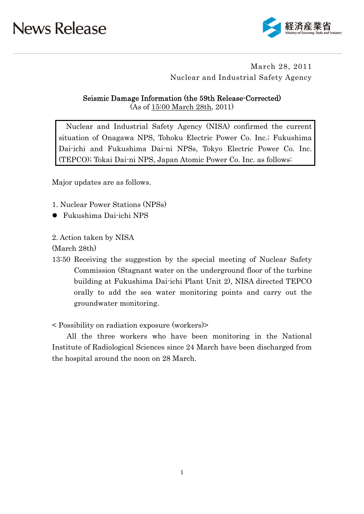

### March 28, 2011 Nuclear and Industrial Safety Agency

Seismic Damage Information (the 59th Release-Corrected) (As of 15:00 March 28th, 2011)

Nuclear and Industrial Safety Agency (NISA) confirmed the current situation of Onagawa NPS, Tohoku Electric Power Co. Inc.; Fukushima Dai-ichi and Fukushima Dai-ni NPSs, Tokyo Electric Power Co. Inc. (TEPCO); Tokai Dai-ni NPS, Japan Atomic Power Co. Inc. as follows:

Major updates are as follows.

- 1. Nuclear Power Stations (NPSs)
- Fukushima Dai-ichi NPS

2. Action taken by NISA

(March 28th)

13:50 Receiving the suggestion by the special meeting of Nuclear Safety Commission (Stagnant water on the underground floor of the turbine building at Fukushima Dai-ichi Plant Unit 2), NISA directed TEPCO orally to add the sea water monitoring points and carry out the groundwater monitoring.

< Possibility on radiation exposure (workers)>

All the three workers who have been monitoring in the National Institute of Radiological Sciences since 24 March have been discharged from the hospital around the noon on 28 March.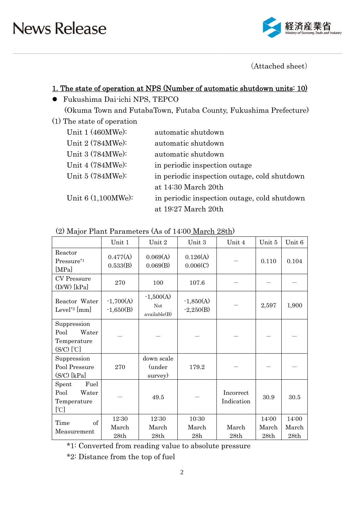

(Attached sheet)

### 1. The state of operation at NPS (Number of automatic shutdown units: 10)

- Fukushima Dai-ichi NPS, TEPCO (Okuma Town and FutabaTown, Futaba County, Fukushima Prefecture)
- (1) The state of operation

| Unit $1(460MWe):$    | automatic shutdown                           |
|----------------------|----------------------------------------------|
| Unit 2 (784MWe):     | automatic shutdown                           |
| Unit 3 (784MWe):     | automatic shutdown                           |
| Unit 4 (784MWe):     | in periodic inspection outage                |
| Unit $5(784MWe):$    | in periodic inspection outage, cold shutdown |
|                      | at 14:30 March 20th                          |
| Unit $6(1,100MWe)$ : | in periodic inspection outage, cold shutdown |
|                      | at 19:27 March 20th                          |

| (2) Major Plant Parameters (As of 14:00 March 28th) |  |
|-----------------------------------------------------|--|
|-----------------------------------------------------|--|

|                                                                             | Unit 1                     | Unit 2                             | Unit 3                     | Unit 4                  | Unit 5                 | Unit 6                 |
|-----------------------------------------------------------------------------|----------------------------|------------------------------------|----------------------------|-------------------------|------------------------|------------------------|
| Reactor<br>Pressure*1<br>[MPa]                                              | 0.477(A)<br>0.533(B)       | 0.069(A)<br>0.069(B)               | 0.126(A)<br>0.006(C)       |                         | 0.110                  | 0.104                  |
| <b>CV</b> Pressure<br>$(D/W)$ [kPa]                                         | 270                        | 100                                | 107.6                      |                         |                        |                        |
| Reactor Water<br>Level <sup>*2</sup> [mm]                                   | $-1,700(A)$<br>$-1,650(B)$ | $-1,500(A)$<br>Not<br>available(B) | $-1,850(A)$<br>$-2,250(B)$ |                         | 2,597                  | 1,900                  |
| Suppression<br>Water<br>Pool<br>Temperature<br>$(S/C)$ $[\mathcal{C}]$      |                            |                                    |                            |                         |                        |                        |
| Suppression<br>Pool Pressure<br>$(S/C)$ [kPa]                               | 270                        | down scale<br>(under<br>survey)    | 179.2                      |                         |                        |                        |
| Fuel<br>Spent<br>Pool<br>Water<br>Temperature<br>$\lbrack \text{C} \rbrack$ |                            | 49.5                               |                            | Incorrect<br>Indication | 30.9                   | 30.5                   |
| of<br>Time<br>Measurement                                                   | 12:30<br>March<br>28th     | 12:30<br>March<br>28th             | 10:30<br>March<br>28h      | March<br>28th           | 14:00<br>March<br>28th | 14:00<br>March<br>28th |

\*1: Converted from reading value to absolute pressure

\*2: Distance from the top of fuel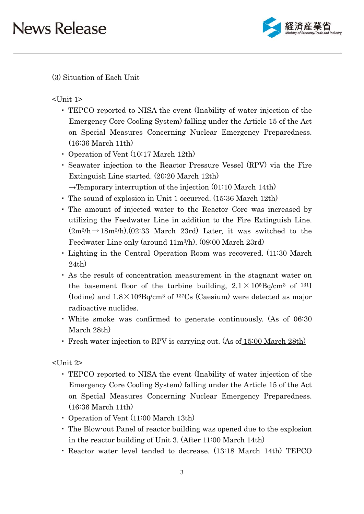

(3) Situation of Each Unit

<Unit 1>

- ・ TEPCO reported to NISA the event (Inability of water injection of the Emergency Core Cooling System) falling under the Article 15 of the Act on Special Measures Concerning Nuclear Emergency Preparedness. (16:36 March 11th)
- ・ Operation of Vent (10:17 March 12th)
- ・ Seawater injection to the Reactor Pressure Vessel (RPV) via the Fire Extinguish Line started. (20:20 March 12th)
- $\rightarrow$ Temporary interruption of the injection (01:10 March 14th)
- ・ The sound of explosion in Unit 1 occurred. (15:36 March 12th)
- ・ The amount of injected water to the Reactor Core was increased by utilizing the Feedwater Line in addition to the Fire Extinguish Line.  $(2m^3/h \rightarrow 18m^3/h)$ . (02:33 March 23rd) Later, it was switched to the Feedwater Line only (around 11m3/h). (09:00 March 23rd)
- ・ Lighting in the Central Operation Room was recovered. (11:30 March 24th)
- ・ As the result of concentration measurement in the stagnant water on the basement floor of the turbine building,  $2.1 \times 10^{5}$ Bq/cm<sup>3</sup> of <sup>131</sup>I (Iodine) and  $1.8 \times 10^6$ Bq/cm<sup>3</sup> of <sup>137</sup>Cs (Caesium) were detected as major radioactive nuclides.
- ・ White smoke was confirmed to generate continuously. (As of 06:30 March 28th)
- ・ Fresh water injection to RPV is carrying out. (As of 15:00 March 28th)

<Unit 2>

- ・ TEPCO reported to NISA the event (Inability of water injection of the Emergency Core Cooling System) falling under the Article 15 of the Act on Special Measures Concerning Nuclear Emergency Preparedness. (16:36 March 11th)
- ・ Operation of Vent (11:00 March 13th)
- ・ The Blow-out Panel of reactor building was opened due to the explosion in the reactor building of Unit 3. (After 11:00 March 14th)
- ・ Reactor water level tended to decrease. (13:18 March 14th) TEPCO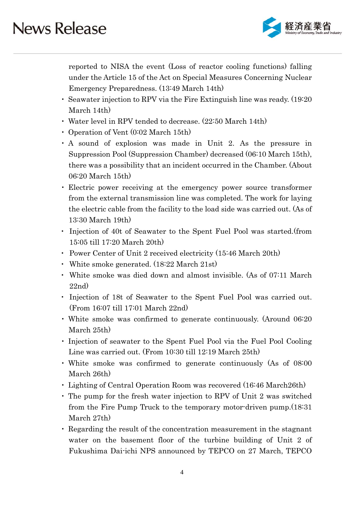

reported to NISA the event (Loss of reactor cooling functions) falling under the Article 15 of the Act on Special Measures Concerning Nuclear Emergency Preparedness. (13:49 March 14th)

- ・ Seawater injection to RPV via the Fire Extinguish line was ready. (19:20 March 14th)
- Water level in RPV tended to decrease. (22:50 March 14th)
- ・ Operation of Vent (0:02 March 15th)
- ・ A sound of explosion was made in Unit 2. As the pressure in Suppression Pool (Suppression Chamber) decreased (06:10 March 15th), there was a possibility that an incident occurred in the Chamber. (About 06:20 March 15th)
- ・ Electric power receiving at the emergency power source transformer from the external transmission line was completed. The work for laying the electric cable from the facility to the load side was carried out. (As of 13:30 March 19th)
- ・ Injection of 40t of Seawater to the Spent Fuel Pool was started.(from 15:05 till 17:20 March 20th)
- ・ Power Center of Unit 2 received electricity (15:46 March 20th)
- ・ White smoke generated. (18:22 March 21st)
- ・ White smoke was died down and almost invisible. (As of 07:11 March 22nd)
- ・ Injection of 18t of Seawater to the Spent Fuel Pool was carried out. (From 16:07 till 17:01 March 22nd)
- ・ White smoke was confirmed to generate continuously. (Around 06:20 March 25th)
- ・ Injection of seawater to the Spent Fuel Pool via the Fuel Pool Cooling Line was carried out. (From 10:30 till 12:19 March 25th)
- ・ White smoke was confirmed to generate continuously (As of 08:00 March 26th)
- ・ Lighting of Central Operation Room was recovered (16:46 March26th)
- ・ The pump for the fresh water injection to RPV of Unit 2 was switched from the Fire Pump Truck to the temporary motor-driven pump.(18:31 March 27th)
- ・ Regarding the result of the concentration measurement in the stagnant water on the basement floor of the turbine building of Unit 2 of Fukushima Dai-ichi NPS announced by TEPCO on 27 March, TEPCO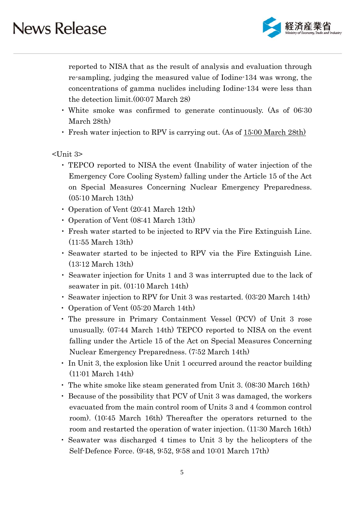

reported to NISA that as the result of analysis and evaluation through re-sampling, judging the measured value of Iodine-134 was wrong, the concentrations of gamma nuclides including Iodine-134 were less than the detection limit.(00:07 March 28)

- ・ White smoke was confirmed to generate continuously. (As of 06:30 March 28th)
- ・ Fresh water injection to RPV is carrying out. (As of 15:00 March 28th)

### <Unit 3>

- ・ TEPCO reported to NISA the event (Inability of water injection of the Emergency Core Cooling System) falling under the Article 15 of the Act on Special Measures Concerning Nuclear Emergency Preparedness. (05:10 March 13th)
- ・ Operation of Vent (20:41 March 12th)
- ・ Operation of Vent (08:41 March 13th)
- ・ Fresh water started to be injected to RPV via the Fire Extinguish Line. (11:55 March 13th)
- ・ Seawater started to be injected to RPV via the Fire Extinguish Line. (13:12 March 13th)
- ・ Seawater injection for Units 1 and 3 was interrupted due to the lack of seawater in pit. (01:10 March 14th)
- ・ Seawater injection to RPV for Unit 3 was restarted. (03:20 March 14th)
- ・ Operation of Vent (05:20 March 14th)
- ・ The pressure in Primary Containment Vessel (PCV) of Unit 3 rose unusually. (07:44 March 14th) TEPCO reported to NISA on the event falling under the Article 15 of the Act on Special Measures Concerning Nuclear Emergency Preparedness. (7:52 March 14th)
- ・ In Unit 3, the explosion like Unit 1 occurred around the reactor building (11:01 March 14th)
- ・ The white smoke like steam generated from Unit 3. (08:30 March 16th)
- ・ Because of the possibility that PCV of Unit 3 was damaged, the workers evacuated from the main control room of Units 3 and 4 (common control room). (10:45 March 16th) Thereafter the operators returned to the room and restarted the operation of water injection. (11:30 March 16th)
- ・ Seawater was discharged 4 times to Unit 3 by the helicopters of the Self-Defence Force. (9:48, 9:52, 9:58 and 10:01 March 17th)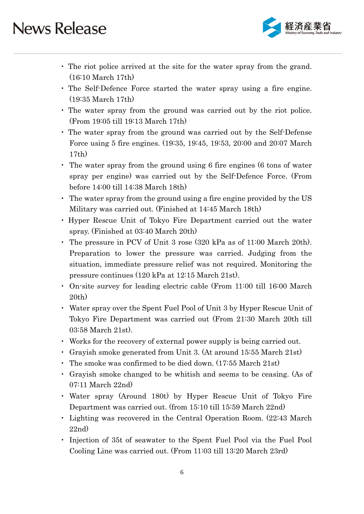

- ・ The riot police arrived at the site for the water spray from the grand. (16:10 March 17th)
- ・ The Self-Defence Force started the water spray using a fire engine. (19:35 March 17th)
- ・ The water spray from the ground was carried out by the riot police. (From 19:05 till 19:13 March 17th)
- ・ The water spray from the ground was carried out by the Self-Defense Force using 5 fire engines. (19:35, 19:45, 19:53, 20:00 and 20:07 March 17th)
- ・ The water spray from the ground using 6 fire engines (6 tons of water spray per engine) was carried out by the Self-Defence Force. (From before 14:00 till 14:38 March 18th)
- ・ The water spray from the ground using a fire engine provided by the US Military was carried out. (Finished at 14:45 March 18th)
- ・ Hyper Rescue Unit of Tokyo Fire Department carried out the water spray. (Finished at 03:40 March 20th)
- ・ The pressure in PCV of Unit 3 rose (320 kPa as of 11:00 March 20th). Preparation to lower the pressure was carried. Judging from the situation, immediate pressure relief was not required. Monitoring the pressure continues (120 kPa at 12:15 March 21st).
- ・ On-site survey for leading electric cable (From 11:00 till 16:00 March 20th)
- ・ Water spray over the Spent Fuel Pool of Unit 3 by Hyper Rescue Unit of Tokyo Fire Department was carried out (From 21:30 March 20th till 03:58 March 21st).
- ・ Works for the recovery of external power supply is being carried out.
- ・ Grayish smoke generated from Unit 3. (At around 15:55 March 21st)
- ・ The smoke was confirmed to be died down. (17:55 March 21st)
- ・ Grayish smoke changed to be whitish and seems to be ceasing. (As of 07:11 March 22nd)
- ・ Water spray (Around 180t) by Hyper Rescue Unit of Tokyo Fire Department was carried out. (from 15:10 till 15:59 March 22nd)
- ・ Lighting was recovered in the Central Operation Room. (22:43 March 22nd)
- ・ Injection of 35t of seawater to the Spent Fuel Pool via the Fuel Pool Cooling Line was carried out. (From 11:03 till 13:20 March 23rd)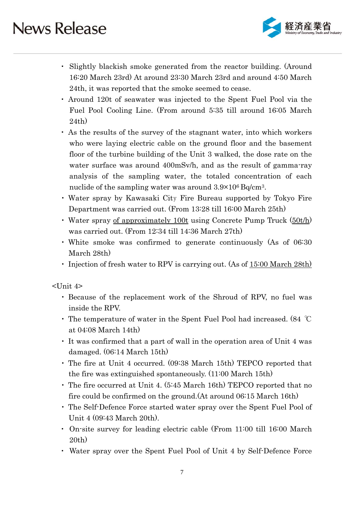

- ・ Slightly blackish smoke generated from the reactor building. (Around 16:20 March 23rd) At around 23:30 March 23rd and around 4:50 March 24th, it was reported that the smoke seemed to cease.
- ・ Around 120t of seawater was injected to the Spent Fuel Pool via the Fuel Pool Cooling Line. (From around 5:35 till around 16:05 March 24th)
- ・ As the results of the survey of the stagnant water, into which workers who were laying electric cable on the ground floor and the basement floor of the turbine building of the Unit 3 walked, the dose rate on the water surface was around 400mSv/h, and as the result of gamma-ray analysis of the sampling water, the totaled concentration of each nuclide of the sampling water was around 3.9×106 Bq/cm3.
- ・ Water spray by Kawasaki City Fire Bureau supported by Tokyo Fire Department was carried out. (From 13:28 till 16:00 March 25th)
- ・ Water spray of approximately 100t using Concrete Pump Truck (50t/h) was carried out. (From 12:34 till 14:36 March 27th)
- ・ White smoke was confirmed to generate continuously (As of 06:30 March 28th)
- Injection of fresh water to RPV is carrying out. (As of 15:00 March 28th)

<Unit 4>

- ・ Because of the replacement work of the Shroud of RPV, no fuel was inside the RPV.
- ・ The temperature of water in the Spent Fuel Pool had increased. (84 ℃ at 04:08 March 14th)
- ・ It was confirmed that a part of wall in the operation area of Unit 4 was damaged. (06:14 March 15th)
- ・ The fire at Unit 4 occurred. (09:38 March 15th) TEPCO reported that the fire was extinguished spontaneously. (11:00 March 15th)
- ・ The fire occurred at Unit 4. (5:45 March 16th) TEPCO reported that no fire could be confirmed on the ground.(At around 06:15 March 16th)
- ・ The Self-Defence Force started water spray over the Spent Fuel Pool of Unit 4 (09:43 March 20th).
- ・ On-site survey for leading electric cable (From 11:00 till 16:00 March 20th)
- ・ Water spray over the Spent Fuel Pool of Unit 4 by Self-Defence Force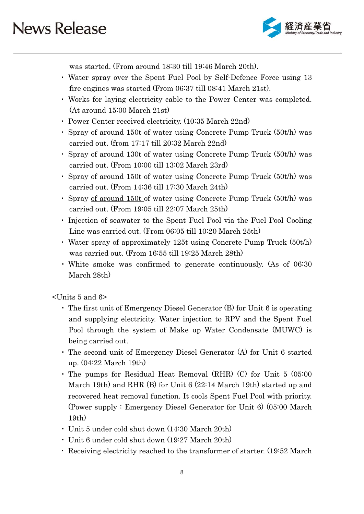

was started. (From around 18:30 till 19:46 March 20th).

- ・ Water spray over the Spent Fuel Pool by Self-Defence Force using 13 fire engines was started (From 06:37 till 08:41 March 21st).
- ・ Works for laying electricity cable to the Power Center was completed. (At around 15:00 March 21st)
- ・ Power Center received electricity. (10:35 March 22nd)
- ・ Spray of around 150t of water using Concrete Pump Truck (50t/h) was carried out. (from 17:17 till 20:32 March 22nd)
- ・ Spray of around 130t of water using Concrete Pump Truck (50t/h) was carried out. (From 10:00 till 13:02 March 23rd)
- ・ Spray of around 150t of water using Concrete Pump Truck (50t/h) was carried out. (From 14:36 till 17:30 March 24th)
- ・ Spray of around 150t of water using Concrete Pump Truck (50t/h) was carried out. (From 19:05 till 22:07 March 25th)
- ・ Injection of seawater to the Spent Fuel Pool via the Fuel Pool Cooling Line was carried out. (From 06:05 till 10:20 March 25th)
- ・ Water spray of approximately 125t using Concrete Pump Truck (50t/h) was carried out. (From 16:55 till 19:25 March 28th)
- ・ White smoke was confirmed to generate continuously. (As of 06:30 March 28th)

<Units 5 and 6>

- ・ The first unit of Emergency Diesel Generator (B) for Unit 6 is operating and supplying electricity. Water injection to RPV and the Spent Fuel Pool through the system of Make up Water Condensate (MUWC) is being carried out.
- ・ The second unit of Emergency Diesel Generator (A) for Unit 6 started up. (04:22 March 19th)
- ・ The pumps for Residual Heat Removal (RHR) (C) for Unit 5 (05:00 March 19th) and RHR (B) for Unit 6 (22:14 March 19th) started up and recovered heat removal function. It cools Spent Fuel Pool with priority. (Power supply : Emergency Diesel Generator for Unit 6) (05:00 March 19th)
- ・ Unit 5 under cold shut down (14:30 March 20th)
- ・ Unit 6 under cold shut down (19:27 March 20th)
- ・ Receiving electricity reached to the transformer of starter. (19:52 March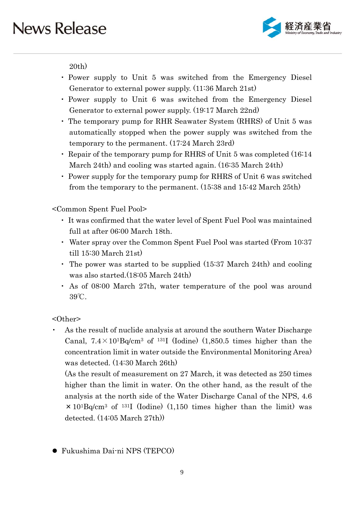

20th)

- ・ Power supply to Unit 5 was switched from the Emergency Diesel Generator to external power supply. (11:36 March 21st)
- ・ Power supply to Unit 6 was switched from the Emergency Diesel Generator to external power supply. (19:17 March 22nd)
- ・ The temporary pump for RHR Seawater System (RHRS) of Unit 5 was automatically stopped when the power supply was switched from the temporary to the permanent. (17:24 March 23rd)
- ・ Repair of the temporary pump for RHRS of Unit 5 was completed (16:14 March 24th) and cooling was started again. (16:35 March 24th)
- ・ Power supply for the temporary pump for RHRS of Unit 6 was switched from the temporary to the permanent. (15:38 and 15:42 March 25th)

<Common Spent Fuel Pool>

- ・ It was confirmed that the water level of Spent Fuel Pool was maintained full at after 06:00 March 18th.
- ・ Water spray over the Common Spent Fuel Pool was started (From 10:37 till 15:30 March 21st)
- ・ The power was started to be supplied (15:37 March 24th) and cooling was also started.(18:05 March 24th)
- ・ As of 08:00 March 27th, water temperature of the pool was around 39℃.

<Other>

As the result of nuclide analysis at around the southern Water Discharge Canal,  $7.4 \times 10^{1}$ Bq/cm<sup>3</sup> of <sup>131</sup>I (Iodine) (1,850.5 times higher than the concentration limit in water outside the Environmental Monitoring Area) was detected. (14:30 March 26th)

(As the result of measurement on 27 March, it was detected as 250 times higher than the limit in water. On the other hand, as the result of the analysis at the north side of the Water Discharge Canal of the NPS, 4.6  $\times$  10<sup>1</sup>Bq/cm<sup>3</sup> of <sup>131</sup>I (Iodine) (1,150 times higher than the limit) was detected. (14:05 March 27th))

Fukushima Dai-ni NPS (TEPCO)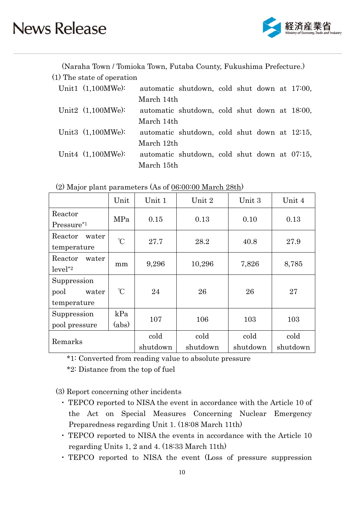

(Naraha Town / Tomioka Town, Futaba County, Fukushima Prefecture.)

| (1) The state of operation |            |                                              |  |  |  |
|----------------------------|------------|----------------------------------------------|--|--|--|
| Unit1 $(1,100MWe)$ :       |            | automatic shutdown, cold shut down at 17:00, |  |  |  |
|                            | March 14th |                                              |  |  |  |
| Unit2 $(1,100MWe)$ :       |            | automatic shutdown, cold shut down at 18:00, |  |  |  |
|                            | March 14th |                                              |  |  |  |
| Unit3 (1,100MWe):          |            | automatic shutdown, cold shut down at 12:15, |  |  |  |
|                            | March 12th |                                              |  |  |  |
| Unit4 $(1,100MWe)$ :       |            | automatic shutdown, cold shut down at 07:15, |  |  |  |
|                            | March 15th |                                              |  |  |  |

|                               | Unit         | Unit 1   | Unit 2   | Unit 3   | Unit 4   |  |
|-------------------------------|--------------|----------|----------|----------|----------|--|
| Reactor                       | MPa          | 0.15     | 0.13     | 0.10     | 0.13     |  |
| Pressure <sup>*1</sup>        |              |          |          |          |          |  |
| Reactor<br>water              | $\mathrm{C}$ | 27.7     | 28.2     | 40.8     | 27.9     |  |
| temperature                   |              |          |          |          |          |  |
| Reactor<br>water              |              | 9,296    | 10,296   | 7,826    | 8,785    |  |
| $level^*2$                    | mm           |          |          |          |          |  |
| Suppression                   |              |          |          |          | 27       |  |
| $\mathrm{C}$<br>pool<br>water |              | 24       | 26       | 26       |          |  |
| temperature                   |              |          |          |          |          |  |
| Suppression                   | kPa          | 107      | 106      | 103      |          |  |
| (abs)<br>pool pressure        |              |          |          |          | 103      |  |
|                               |              | cold     | cold     | cold     | cold     |  |
| Remarks                       |              | shutdown | shutdown | shutdown | shutdown |  |

(2) Major plant parameters (As of  $06:00:00$  March 28th)

\*1: Converted from reading value to absolute pressure

\*2: Distance from the top of fuel

(3) Report concerning other incidents

- ・ TEPCO reported to NISA the event in accordance with the Article 10 of the Act on Special Measures Concerning Nuclear Emergency Preparedness regarding Unit 1. (18:08 March 11th)
- ・ TEPCO reported to NISA the events in accordance with the Article 10 regarding Units 1, 2 and 4. (18:33 March 11th)
- ・ TEPCO reported to NISA the event (Loss of pressure suppression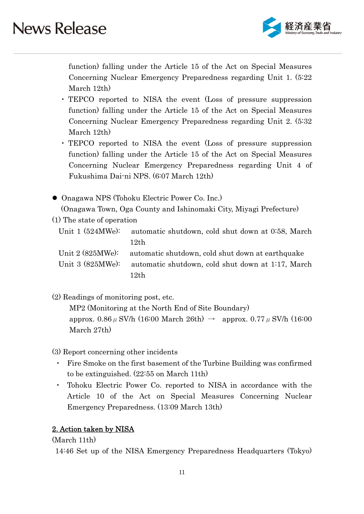

function) falling under the Article 15 of the Act on Special Measures Concerning Nuclear Emergency Preparedness regarding Unit 1. (5:22 March 12th)

- ・ TEPCO reported to NISA the event (Loss of pressure suppression function) falling under the Article 15 of the Act on Special Measures Concerning Nuclear Emergency Preparedness regarding Unit 2. (5:32 March 12th)
- ・ TEPCO reported to NISA the event (Loss of pressure suppression function) falling under the Article 15 of the Act on Special Measures Concerning Nuclear Emergency Preparedness regarding Unit 4 of Fukushima Dai-ni NPS. (6:07 March 12th)
- Onagawa NPS (Tohoku Electric Power Co. Inc.) (Onagawa Town, Oga County and Ishinomaki City, Miyagi Prefecture)
- (1) The state of operation
	- Unit 1 (524MWe): automatic shutdown, cold shut down at 0:58, March 12th

Unit 2 (825MWe): automatic shutdown, cold shut down at earthquake Unit 3 (825MWe): automatic shutdown, cold shut down at 1:17, March 12th

(2) Readings of monitoring post, etc.

MP2 (Monitoring at the North End of Site Boundary) approx. 0.86  $\mu$  SV/h (16:00 March 26th)  $\rightarrow$  approx. 0.77  $\mu$  SV/h (16:00 March 27th)

- (3) Report concerning other incidents
	- Fire Smoke on the first basement of the Turbine Building was confirmed to be extinguished. (22:55 on March 11th)
	- ・ Tohoku Electric Power Co. reported to NISA in accordance with the Article 10 of the Act on Special Measures Concerning Nuclear Emergency Preparedness. (13:09 March 13th)

### 2. Action taken by NISA

(March 11th)

14:46 Set up of the NISA Emergency Preparedness Headquarters (Tokyo)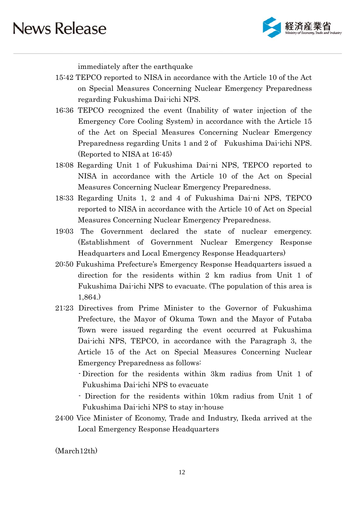

immediately after the earthquake

- 15:42 TEPCO reported to NISA in accordance with the Article 10 of the Act on Special Measures Concerning Nuclear Emergency Preparedness regarding Fukushima Dai-ichi NPS.
- 16:36 TEPCO recognized the event (Inability of water injection of the Emergency Core Cooling System) in accordance with the Article 15 of the Act on Special Measures Concerning Nuclear Emergency Preparedness regarding Units 1 and 2 of Fukushima Dai-ichi NPS. (Reported to NISA at 16:45)
- 18:08 Regarding Unit 1 of Fukushima Dai-ni NPS, TEPCO reported to NISA in accordance with the Article 10 of the Act on Special Measures Concerning Nuclear Emergency Preparedness.
- 18:33 Regarding Units 1, 2 and 4 of Fukushima Dai-ni NPS, TEPCO reported to NISA in accordance with the Article 10 of Act on Special Measures Concerning Nuclear Emergency Preparedness.
- 19:03 The Government declared the state of nuclear emergency. (Establishment of Government Nuclear Emergency Response Headquarters and Local Emergency Response Headquarters)
- 20:50 Fukushima Prefecture's Emergency Response Headquarters issued a direction for the residents within 2 km radius from Unit 1 of Fukushima Dai-ichi NPS to evacuate. (The population of this area is 1,864.)
- 21:23 Directives from Prime Minister to the Governor of Fukushima Prefecture, the Mayor of Okuma Town and the Mayor of Futaba Town were issued regarding the event occurred at Fukushima Dai-ichi NPS, TEPCO, in accordance with the Paragraph 3, the Article 15 of the Act on Special Measures Concerning Nuclear Emergency Preparedness as follows:
	- Direction for the residents within 3km radius from Unit 1 of Fukushima Dai-ichi NPS to evacuate
	- Direction for the residents within 10km radius from Unit 1 of Fukushima Dai-ichi NPS to stay in-house
- 24:00 Vice Minister of Economy, Trade and Industry, Ikeda arrived at the Local Emergency Response Headquarters

(March12th)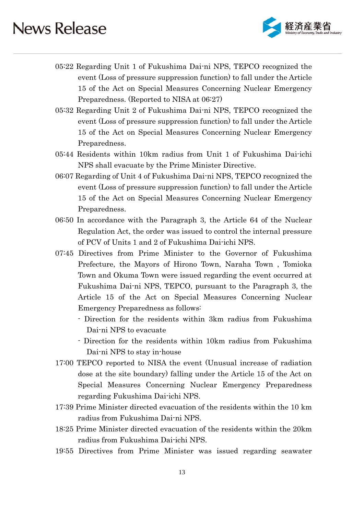

- 05:22 Regarding Unit 1 of Fukushima Dai-ni NPS, TEPCO recognized the event (Loss of pressure suppression function) to fall under the Article 15 of the Act on Special Measures Concerning Nuclear Emergency Preparedness. (Reported to NISA at 06:27)
- 05:32 Regarding Unit 2 of Fukushima Dai-ni NPS, TEPCO recognized the event (Loss of pressure suppression function) to fall under the Article 15 of the Act on Special Measures Concerning Nuclear Emergency Preparedness.
- 05:44 Residents within 10km radius from Unit 1 of Fukushima Dai-ichi NPS shall evacuate by the Prime Minister Directive.
- 06:07 Regarding of Unit 4 of Fukushima Dai-ni NPS, TEPCO recognized the event (Loss of pressure suppression function) to fall under the Article 15 of the Act on Special Measures Concerning Nuclear Emergency Preparedness.
- 06:50 In accordance with the Paragraph 3, the Article 64 of the Nuclear Regulation Act, the order was issued to control the internal pressure of PCV of Units 1 and 2 of Fukushima Dai-ichi NPS.
- 07:45 Directives from Prime Minister to the Governor of Fukushima Prefecture, the Mayors of Hirono Town, Naraha Town , Tomioka Town and Okuma Town were issued regarding the event occurred at Fukushima Dai-ni NPS, TEPCO, pursuant to the Paragraph 3, the Article 15 of the Act on Special Measures Concerning Nuclear Emergency Preparedness as follows:
	- Direction for the residents within 3km radius from Fukushima Dai-ni NPS to evacuate
	- Direction for the residents within 10km radius from Fukushima Dai-ni NPS to stay in-house
- 17:00 TEPCO reported to NISA the event (Unusual increase of radiation dose at the site boundary) falling under the Article 15 of the Act on Special Measures Concerning Nuclear Emergency Preparedness regarding Fukushima Dai-ichi NPS.
- 17:39 Prime Minister directed evacuation of the residents within the 10 km radius from Fukushima Dai-ni NPS.
- 18:25 Prime Minister directed evacuation of the residents within the 20km radius from Fukushima Dai-ichi NPS.
- 19:55 Directives from Prime Minister was issued regarding seawater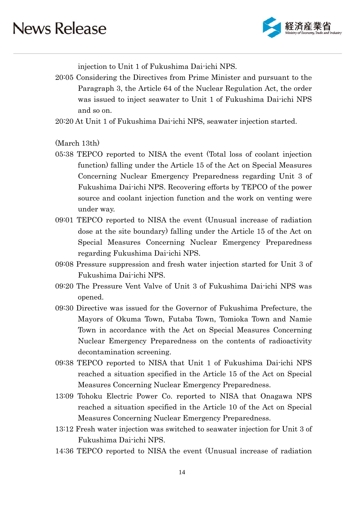

injection to Unit 1 of Fukushima Dai-ichi NPS.

20:05 Considering the Directives from Prime Minister and pursuant to the Paragraph 3, the Article 64 of the Nuclear Regulation Act, the order was issued to inject seawater to Unit 1 of Fukushima Dai-ichi NPS and so on.

20:20 At Unit 1 of Fukushima Dai-ichi NPS, seawater injection started.

(March 13th)

- 05:38 TEPCO reported to NISA the event (Total loss of coolant injection function) falling under the Article 15 of the Act on Special Measures Concerning Nuclear Emergency Preparedness regarding Unit 3 of Fukushima Dai-ichi NPS. Recovering efforts by TEPCO of the power source and coolant injection function and the work on venting were under way.
- 09:01 TEPCO reported to NISA the event (Unusual increase of radiation dose at the site boundary) falling under the Article 15 of the Act on Special Measures Concerning Nuclear Emergency Preparedness regarding Fukushima Dai-ichi NPS.
- 09:08 Pressure suppression and fresh water injection started for Unit 3 of Fukushima Dai-ichi NPS.
- 09:20 The Pressure Vent Valve of Unit 3 of Fukushima Dai-ichi NPS was opened.
- 09:30 Directive was issued for the Governor of Fukushima Prefecture, the Mayors of Okuma Town, Futaba Town, Tomioka Town and Namie Town in accordance with the Act on Special Measures Concerning Nuclear Emergency Preparedness on the contents of radioactivity decontamination screening.
- 09:38 TEPCO reported to NISA that Unit 1 of Fukushima Dai-ichi NPS reached a situation specified in the Article 15 of the Act on Special Measures Concerning Nuclear Emergency Preparedness.
- 13:09 Tohoku Electric Power Co. reported to NISA that Onagawa NPS reached a situation specified in the Article 10 of the Act on Special Measures Concerning Nuclear Emergency Preparedness.
- 13:12 Fresh water injection was switched to seawater injection for Unit 3 of Fukushima Dai-ichi NPS.
- 14:36 TEPCO reported to NISA the event (Unusual increase of radiation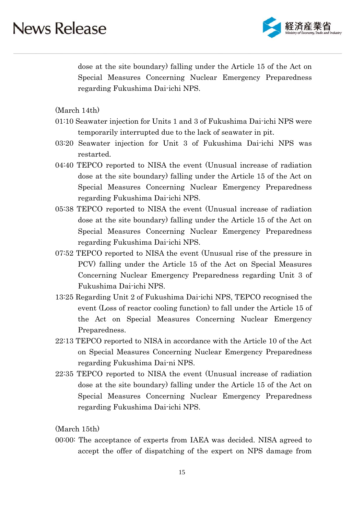

dose at the site boundary) falling under the Article 15 of the Act on Special Measures Concerning Nuclear Emergency Preparedness regarding Fukushima Dai-ichi NPS.

(March 14th)

- 01:10 Seawater injection for Units 1 and 3 of Fukushima Dai-ichi NPS were temporarily interrupted due to the lack of seawater in pit.
- 03:20 Seawater injection for Unit 3 of Fukushima Dai-ichi NPS was restarted.
- 04:40 TEPCO reported to NISA the event (Unusual increase of radiation dose at the site boundary) falling under the Article 15 of the Act on Special Measures Concerning Nuclear Emergency Preparedness regarding Fukushima Dai-ichi NPS.
- 05:38 TEPCO reported to NISA the event (Unusual increase of radiation dose at the site boundary) falling under the Article 15 of the Act on Special Measures Concerning Nuclear Emergency Preparedness regarding Fukushima Dai-ichi NPS.
- 07:52 TEPCO reported to NISA the event (Unusual rise of the pressure in PCV) falling under the Article 15 of the Act on Special Measures Concerning Nuclear Emergency Preparedness regarding Unit 3 of Fukushima Dai-ichi NPS.
- 13:25 Regarding Unit 2 of Fukushima Dai-ichi NPS, TEPCO recognised the event (Loss of reactor cooling function) to fall under the Article 15 of the Act on Special Measures Concerning Nuclear Emergency Preparedness.
- 22:13 TEPCO reported to NISA in accordance with the Article 10 of the Act on Special Measures Concerning Nuclear Emergency Preparedness regarding Fukushima Dai-ni NPS.
- 22:35 TEPCO reported to NISA the event (Unusual increase of radiation dose at the site boundary) falling under the Article 15 of the Act on Special Measures Concerning Nuclear Emergency Preparedness regarding Fukushima Dai-ichi NPS.

(March 15th)

00:00: The acceptance of experts from IAEA was decided. NISA agreed to accept the offer of dispatching of the expert on NPS damage from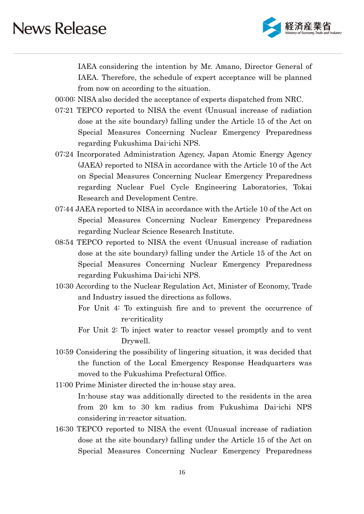

IAEA considering the intention by Mr. Amano, Director General of IAEA. Therefore, the schedule of expert acceptance will be planned from now on according to the situation.

- 00:00: NISA also decided the acceptance of experts dispatched from NRC.
- 07:21 TEPCO reported to NISA the event (Unusual increase of radiation dose at the site boundary) falling under the Article 15 of the Act on Special Measures Concerning Nuclear Emergency Preparedness regarding Fukushima Dai-ichi NPS.
- 07:24 Incorporated Administration Agency, Japan Atomic Energy Agency (JAEA) reported to NISA in accordance with the Article 10 of the Act on Special Measures Concerning Nuclear Emergency Preparedness regarding Nuclear Fuel Cycle Engineering Laboratories, Tokai Research and Development Centre.
- 07:44 JAEA reported to NISA in accordance with the Article 10 of the Act on Special Measures Concerning Nuclear Emergency Preparedness regarding Nuclear Science Research Institute.
- 08:54 TEPCO reported to NISA the event (Unusual increase of radiation dose at the site boundary) falling under the Article 15 of the Act on Special Measures Concerning Nuclear Emergency Preparedness regarding Fukushima Dai-ichi NPS.
- 10:30 According to the Nuclear Regulation Act, Minister of Economy, Trade and Industry issued the directions as follows.
	- For Unit 4: To extinguish fire and to prevent the occurrence of re-criticality
	- For Unit 2: To inject water to reactor vessel promptly and to vent Drywell.
- 10:59 Considering the possibility of lingering situation, it was decided that the function of the Local Emergency Response Headquarters was moved to the Fukushima Prefectural Office.
- 11:00 Prime Minister directed the in-house stay area. In-house stay was additionally directed to the residents in the area from 20 km to 30 km radius from Fukushima Dai-ichi NPS considering in-reactor situation.
- 16:30 TEPCO reported to NISA the event (Unusual increase of radiation dose at the site boundary) falling under the Article 15 of the Act on Special Measures Concerning Nuclear Emergency Preparedness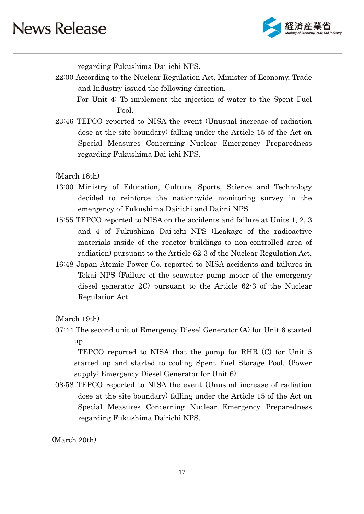

regarding Fukushima Dai-ichi NPS.

- 22:00 According to the Nuclear Regulation Act, Minister of Economy, Trade and Industry issued the following direction.
	- For Unit 4: To implement the injection of water to the Spent Fuel Pool.
- 23:46 TEPCO reported to NISA the event (Unusual increase of radiation dose at the site boundary) falling under the Article 15 of the Act on Special Measures Concerning Nuclear Emergency Preparedness regarding Fukushima Dai-ichi NPS.

(March 18th)

- 13:00 Ministry of Education, Culture, Sports, Science and Technology decided to reinforce the nation-wide monitoring survey in the emergency of Fukushima Dai-ichi and Dai-ni NPS.
- 15:55 TEPCO reported to NISA on the accidents and failure at Units 1, 2, 3 and 4 of Fukushima Dai-ichi NPS (Leakage of the radioactive materials inside of the reactor buildings to non-controlled area of radiation) pursuant to the Article 62-3 of the Nuclear Regulation Act.
- 16:48 Japan Atomic Power Co. reported to NISA accidents and failures in Tokai NPS (Failure of the seawater pump motor of the emergency diesel generator 2C) pursuant to the Article 62-3 of the Nuclear Regulation Act.

(March 19th)

07:44 The second unit of Emergency Diesel Generator (A) for Unit 6 started up.

 TEPCO reported to NISA that the pump for RHR (C) for Unit 5 started up and started to cooling Spent Fuel Storage Pool. (Power supply: Emergency Diesel Generator for Unit 6)

08:58 TEPCO reported to NISA the event (Unusual increase of radiation dose at the site boundary) falling under the Article 15 of the Act on Special Measures Concerning Nuclear Emergency Preparedness regarding Fukushima Dai-ichi NPS.

(March 20th)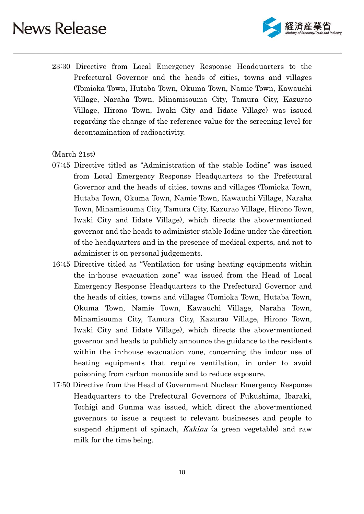

23:30 Directive from Local Emergency Response Headquarters to the Prefectural Governor and the heads of cities, towns and villages (Tomioka Town, Hutaba Town, Okuma Town, Namie Town, Kawauchi Village, Naraha Town, Minamisouma City, Tamura City, Kazurao Village, Hirono Town, Iwaki City and Iidate Village) was issued regarding the change of the reference value for the screening level for decontamination of radioactivity.

#### (March 21st)

- 07:45 Directive titled as "Administration of the stable Iodine" was issued from Local Emergency Response Headquarters to the Prefectural Governor and the heads of cities, towns and villages (Tomioka Town, Hutaba Town, Okuma Town, Namie Town, Kawauchi Village, Naraha Town, Minamisouma City, Tamura City, Kazurao Village, Hirono Town, Iwaki City and Iidate Village), which directs the above-mentioned governor and the heads to administer stable Iodine under the direction of the headquarters and in the presence of medical experts, and not to administer it on personal judgements.
- 16:45 Directive titled as "Ventilation for using heating equipments within the in-house evacuation zone" was issued from the Head of Local Emergency Response Headquarters to the Prefectural Governor and the heads of cities, towns and villages (Tomioka Town, Hutaba Town, Okuma Town, Namie Town, Kawauchi Village, Naraha Town, Minamisouma City, Tamura City, Kazurao Village, Hirono Town, Iwaki City and Iidate Village), which directs the above-mentioned governor and heads to publicly announce the guidance to the residents within the in-house evacuation zone, concerning the indoor use of heating equipments that require ventilation, in order to avoid poisoning from carbon monoxide and to reduce exposure.
- 17:50 Directive from the Head of Government Nuclear Emergency Response Headquarters to the Prefectural Governors of Fukushima, Ibaraki, Tochigi and Gunma was issued, which direct the above-mentioned governors to issue a request to relevant businesses and people to suspend shipment of spinach, *Kakina* (a green vegetable) and raw milk for the time being.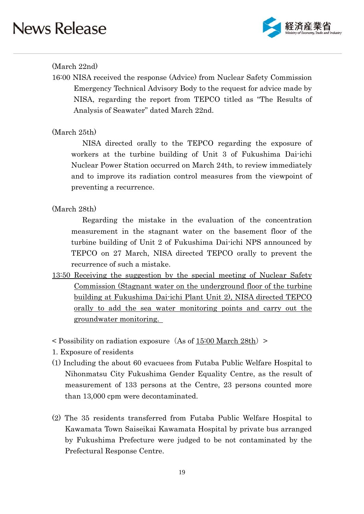

### (March 22nd)

16:00 NISA received the response (Advice) from Nuclear Safety Commission Emergency Technical Advisory Body to the request for advice made by NISA, regarding the report from TEPCO titled as "The Results of Analysis of Seawater" dated March 22nd.

### (March 25th)

NISA directed orally to the TEPCO regarding the exposure of workers at the turbine building of Unit 3 of Fukushima Dai-ichi Nuclear Power Station occurred on March 24th, to review immediately and to improve its radiation control measures from the viewpoint of preventing a recurrence.

### (March 28th)

 Regarding the mistake in the evaluation of the concentration measurement in the stagnant water on the basement floor of the turbine building of Unit 2 of Fukushima Dai-ichi NPS announced by TEPCO on 27 March, NISA directed TEPCO orally to prevent the recurrence of such a mistake.

- 13:50 Receiving the suggestion by the special meeting of Nuclear Safety Commission (Stagnant water on the underground floor of the turbine building at Fukushima Dai-ichi Plant Unit 2), NISA directed TEPCO orally to add the sea water monitoring points and carry out the groundwater monitoring.
- $\leq$  Possibility on radiation exposure (As of 15:00 March 28th)  $\geq$
- 1. Exposure of residents
- (1) Including the about 60 evacuees from Futaba Public Welfare Hospital to Nihonmatsu City Fukushima Gender Equality Centre, as the result of measurement of 133 persons at the Centre, 23 persons counted more than 13,000 cpm were decontaminated.
- (2) The 35 residents transferred from Futaba Public Welfare Hospital to Kawamata Town Saiseikai Kawamata Hospital by private bus arranged by Fukushima Prefecture were judged to be not contaminated by the Prefectural Response Centre.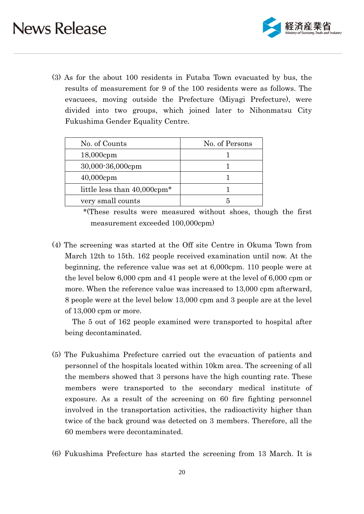

(3) As for the about 100 residents in Futaba Town evacuated by bus, the results of measurement for 9 of the 100 residents were as follows. The evacuees, moving outside the Prefecture (Miyagi Prefecture), were divided into two groups, which joined later to Nihonmatsu City Fukushima Gender Equality Centre.

| No. of Counts                           | No. of Persons |
|-----------------------------------------|----------------|
| $18,000$ cpm                            |                |
| 30,000-36,000cpm                        |                |
| $40,000$ cpm                            |                |
| little less than 40,000cpm <sup>*</sup> |                |
| very small counts                       |                |

 \*(These results were measured without shoes, though the first measurement exceeded 100,000cpm)

(4) The screening was started at the Off site Centre in Okuma Town from March 12th to 15th. 162 people received examination until now. At the beginning, the reference value was set at 6,000cpm. 110 people were at the level below 6,000 cpm and 41 people were at the level of 6,000 cpm or more. When the reference value was increased to 13,000 cpm afterward, 8 people were at the level below 13,000 cpm and 3 people are at the level of 13,000 cpm or more.

The 5 out of 162 people examined were transported to hospital after being decontaminated.

- (5) The Fukushima Prefecture carried out the evacuation of patients and personnel of the hospitals located within 10km area. The screening of all the members showed that 3 persons have the high counting rate. These members were transported to the secondary medical institute of exposure. As a result of the screening on 60 fire fighting personnel involved in the transportation activities, the radioactivity higher than twice of the back ground was detected on 3 members. Therefore, all the 60 members were decontaminated.
- (6) Fukushima Prefecture has started the screening from 13 March. It is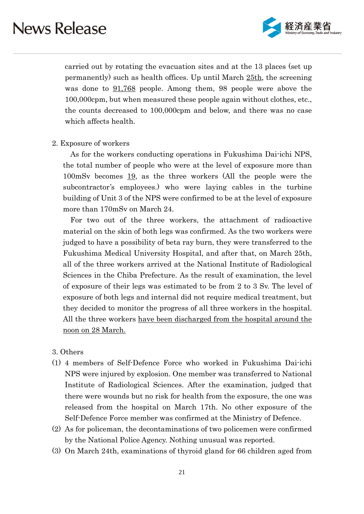

carried out by rotating the evacuation sites and at the 13 places (set up permanently) such as health offices. Up until March 25th, the screening was done to  $91,768$  people. Among them, 98 people were above the 100,000cpm, but when measured these people again without clothes, etc., the counts decreased to 100,000cpm and below, and there was no case which affects health.

#### 2. Exposure of workers

As for the workers conducting operations in Fukushima Dai-ichi NPS, the total number of people who were at the level of exposure more than 100mSv becomes 19, as the three workers (All the people were the subcontractor's employees.) who were laying cables in the turbine building of Unit 3 of the NPS were confirmed to be at the level of exposure more than 170mSv on March 24.

For two out of the three workers, the attachment of radioactive material on the skin of both legs was confirmed. As the two workers were judged to have a possibility of beta ray burn, they were transferred to the Fukushima Medical University Hospital, and after that, on March 25th, all of the three workers arrived at the National Institute of Radiological Sciences in the Chiba Prefecture. As the result of examination, the level of exposure of their legs was estimated to be from 2 to 3 Sv. The level of exposure of both legs and internal did not require medical treatment, but they decided to monitor the progress of all three workers in the hospital. All the three workers have been discharged from the hospital around the noon on 28 March.

- 3. Others
- (1) 4 members of Self-Defence Force who worked in Fukushima Dai-ichi NPS were injured by explosion. One member was transferred to National Institute of Radiological Sciences. After the examination, judged that there were wounds but no risk for health from the exposure, the one was released from the hospital on March 17th. No other exposure of the Self-Defence Force member was confirmed at the Ministry of Defence.
- (2) As for policeman, the decontaminations of two policemen were confirmed by the National Police Agency. Nothing unusual was reported.
- (3) On March 24th, examinations of thyroid gland for 66 children aged from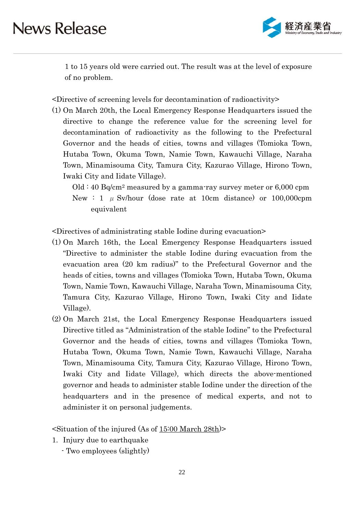

1 to 15 years old were carried out. The result was at the level of exposure of no problem.

<Directive of screening levels for decontamination of radioactivity>

(1) On March 20th, the Local Emergency Response Headquarters issued the directive to change the reference value for the screening level for decontamination of radioactivity as the following to the Prefectural Governor and the heads of cities, towns and villages (Tomioka Town, Hutaba Town, Okuma Town, Namie Town, Kawauchi Village, Naraha Town, Minamisouma City, Tamura City, Kazurao Village, Hirono Town, Iwaki City and Iidate Village).

 $Old: 40 Bq/cm<sup>2</sup> measured by a gamma-ray survey meter or 6,000 rpm$ New : 1  $\mu$  Sv/hour (dose rate at 10cm distance) or 100,000cpm equivalent

<Directives of administrating stable Iodine during evacuation>

- (1) On March 16th, the Local Emergency Response Headquarters issued "Directive to administer the stable Iodine during evacuation from the evacuation area (20 km radius)" to the Prefectural Governor and the heads of cities, towns and villages (Tomioka Town, Hutaba Town, Okuma Town, Namie Town, Kawauchi Village, Naraha Town, Minamisouma City, Tamura City, Kazurao Village, Hirono Town, Iwaki City and Iidate Village).
- (2) On March 21st, the Local Emergency Response Headquarters issued Directive titled as "Administration of the stable Iodine" to the Prefectural Governor and the heads of cities, towns and villages (Tomioka Town, Hutaba Town, Okuma Town, Namie Town, Kawauchi Village, Naraha Town, Minamisouma City, Tamura City, Kazurao Village, Hirono Town, Iwaki City and Iidate Village), which directs the above-mentioned governor and heads to administer stable Iodine under the direction of the headquarters and in the presence of medical experts, and not to administer it on personal judgements.

<Situation of the injured (As of 15:00 March 28th)>

- 1. Injury due to earthquake
	- Two employees (slightly)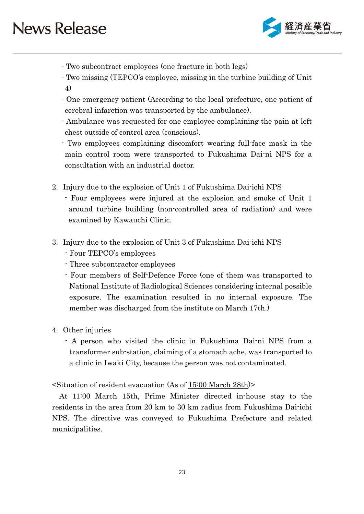

- Two subcontract employees (one fracture in both legs)
- Two missing (TEPCO's employee, missing in the turbine building of Unit 4)
- One emergency patient (According to the local prefecture, one patient of cerebral infarction was transported by the ambulance).
- Ambulance was requested for one employee complaining the pain at left chest outside of control area (conscious).
- Two employees complaining discomfort wearing full-face mask in the main control room were transported to Fukushima Dai-ni NPS for a consultation with an industrial doctor.
- 2. Injury due to the explosion of Unit 1 of Fukushima Dai-ichi NPS
	- Four employees were injured at the explosion and smoke of Unit 1 around turbine building (non-controlled area of radiation) and were examined by Kawauchi Clinic.
- 3. Injury due to the explosion of Unit 3 of Fukushima Dai-ichi NPS
	- Four TEPCO's employees
	- Three subcontractor employees
	- Four members of Self-Defence Force (one of them was transported to National Institute of Radiological Sciences considering internal possible exposure. The examination resulted in no internal exposure. The member was discharged from the institute on March 17th.)
- 4. Other injuries
	- A person who visited the clinic in Fukushima Dai-ni NPS from a transformer sub-station, claiming of a stomach ache, was transported to a clinic in Iwaki City, because the person was not contaminated.

<Situation of resident evacuation (As of 15:00 March 28th)>

At 11:00 March 15th, Prime Minister directed in-house stay to the residents in the area from 20 km to 30 km radius from Fukushima Dai-ichi NPS. The directive was conveyed to Fukushima Prefecture and related municipalities.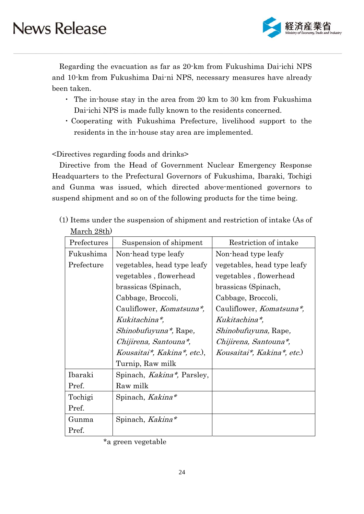

Regarding the evacuation as far as 20-km from Fukushima Dai-ichi NPS and 10-km from Fukushima Dai-ni NPS, necessary measures have already been taken.

- ・ The in-house stay in the area from 20 km to 30 km from Fukushima Dai-ichi NPS is made fully known to the residents concerned.
- ・Cooperating with Fukushima Prefecture, livelihood support to the residents in the in-house stay area are implemented.

<Directives regarding foods and drinks>

Directive from the Head of Government Nuclear Emergency Response Headquarters to the Prefectural Governors of Fukushima, Ibaraki, Tochigi and Gunma was issued, which directed above-mentioned governors to suspend shipment and so on of the following products for the time being.

| (1) Items under the suspension of shipment and restriction of intake (As of |  |
|-----------------------------------------------------------------------------|--|
| March 28th)                                                                 |  |

| Prefectures | Suspension of shipment           | Restriction of intake            |
|-------------|----------------------------------|----------------------------------|
| Fukushima   | Non-head type leafy              | Non-head type leafy              |
| Prefecture  | vegetables, head type leafy      | vegetables, head type leafy      |
|             | vegetables, flowerhead           | vegetables, flowerhead           |
|             | brassicas (Spinach,              | brassicas (Spinach,              |
|             | Cabbage, Broccoli,               | Cabbage, Broccoli,               |
|             | Cauliflower, <i>Komatsuna*</i> , | Cauliflower, <i>Komatsuna*</i> , |
|             | Kukitachina*,                    | Kukitachina*,                    |
|             | <i>Shinobufuyuna*</i> , Rape,    | Shinobufuyuna, Rape,             |
|             | Chijirena, Santouna*,            | Chijirena, Santouna*,            |
|             | Kousaitai*, Kakina*, etc.),      | Kousaitai*, Kakina*, etc.)       |
|             | Turnip, Raw milk                 |                                  |
| Ibaraki     | Spinach, Kakina*, Parsley,       |                                  |
| Pref.       | Raw milk                         |                                  |
| Tochigi     | Spinach, Kakina*                 |                                  |
| Pref.       |                                  |                                  |
| Gunma       | Spinach, Kakina*                 |                                  |
| Pref.       |                                  |                                  |

<sup>\*</sup>a green vegetable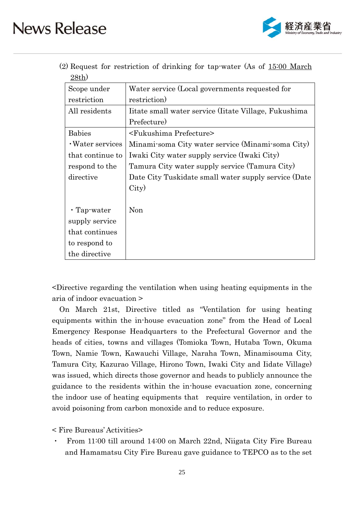

|          | (2) Request for restriction of drinking for tap-water (As of 15:00 March) |  |  |  |  |
|----------|---------------------------------------------------------------------------|--|--|--|--|
| $28th$ ) |                                                                           |  |  |  |  |

| Scope under       | Water service (Local governments requested for       |
|-------------------|------------------------------------------------------|
| restriction       | restriction)                                         |
| All residents     | Itate small water service (Itate Village, Fukushima) |
|                   | Prefecture)                                          |
| <b>Babies</b>     | <fukushima prefecture=""></fukushima>                |
| · Water services  | Minami-soma City water service (Minami-soma City)    |
| that continue to  | Iwaki City water supply service (Iwaki City)         |
| respond to the    | Tamura City water supply service (Tamura City)       |
| directive         | Date City Tuskidate small water supply service (Date |
|                   | City)                                                |
|                   |                                                      |
| $\cdot$ Tap-water | Non                                                  |
| supply service    |                                                      |
| that continues    |                                                      |
| to respond to     |                                                      |
| the directive     |                                                      |

<Directive regarding the ventilation when using heating equipments in the aria of indoor evacuation >

On March 21st, Directive titled as "Ventilation for using heating equipments within the in-house evacuation zone" from the Head of Local Emergency Response Headquarters to the Prefectural Governor and the heads of cities, towns and villages (Tomioka Town, Hutaba Town, Okuma Town, Namie Town, Kawauchi Village, Naraha Town, Minamisouma City, Tamura City, Kazurao Village, Hirono Town, Iwaki City and Iidate Village) was issued, which directs those governor and heads to publicly announce the guidance to the residents within the in-house evacuation zone, concerning the indoor use of heating equipments that require ventilation, in order to avoid poisoning from carbon monoxide and to reduce exposure.

< Fire Bureaus' Activities>

From 11:00 till around 14:00 on March 22nd, Niigata City Fire Bureau and Hamamatsu City Fire Bureau gave guidance to TEPCO as to the set